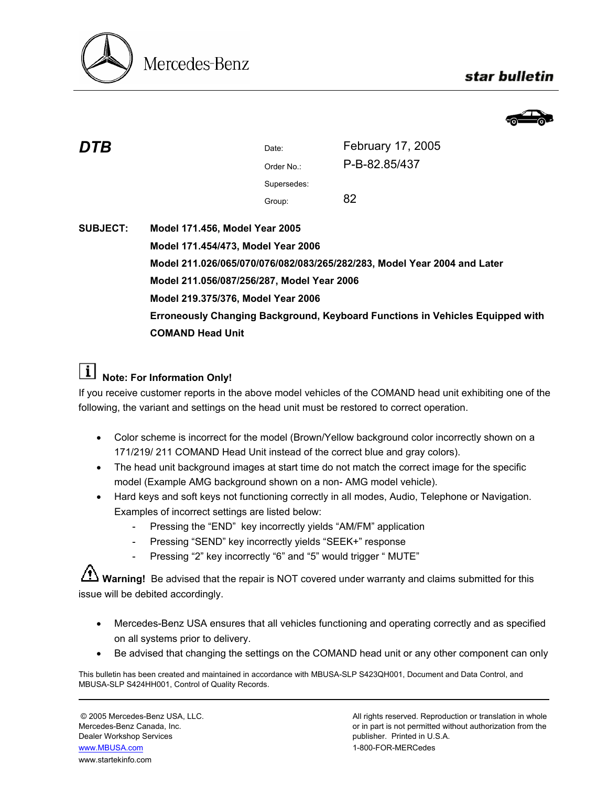

## star bulletin



**DTB** Date: Date: **February 17, 2005** Order No.: P-B-82.85/437 Supersedes: Group: 82

## **SUBJECT: Model 171.456, Model Year 2005 Model 171.454/473, Model Year 2006 Model 211.026/065/070/076/082/083/265/282/283, Model Year 2004 and Later Model 211.056/087/256/287, Model Year 2006 Model 219.375/376, Model Year 2006 Erroneously Changing Background, Keyboard Functions in Vehicles Equipped with COMAND Head Unit**

## *i* Note: For Information Only!

If you receive customer reports in the above model vehicles of the COMAND head unit exhibiting one of the following, the variant and settings on the head unit must be restored to correct operation.

- Color scheme is incorrect for the model (Brown/Yellow background color incorrectly shown on a 171/219/ 211 COMAND Head Unit instead of the correct blue and gray colors).
- The head unit background images at start time do not match the correct image for the specific model (Example AMG background shown on a non- AMG model vehicle).
- Hard keys and soft keys not functioning correctly in all modes, Audio, Telephone or Navigation. Examples of incorrect settings are listed below:
	- Pressing the "END" key incorrectly yields "AM/FM" application
	- Pressing "SEND" key incorrectly yields "SEEK+" response
	- Pressing "2" key incorrectly "6" and "5" would trigger " MUTE"

**Warning!** Be advised that the repair is NOT covered under warranty and claims submitted for this issue will be debited accordingly.

- Mercedes-Benz USA ensures that all vehicles functioning and operating correctly and as specified on all systems prior to delivery.
- Be advised that changing the settings on the COMAND head unit or any other component can only

This bulletin has been created and maintained in accordance with MBUSA-SLP S423QH001, Document and Data Control, and MBUSA-SLP S424HH001, Control of Quality Records.

Dealer Workshop Services publisher. Printed in U.S.A. www.MBUSA.com 1-800-FOR-MERCedes www.startekinfo.com

© 2005 Mercedes-Benz USA, LLC. All rights reserved. Reproduction or translation in whole Mercedes-Benz Canada, Inc. **or in part is not permitted without authorization from the** or in part is not permitted without authorization from the